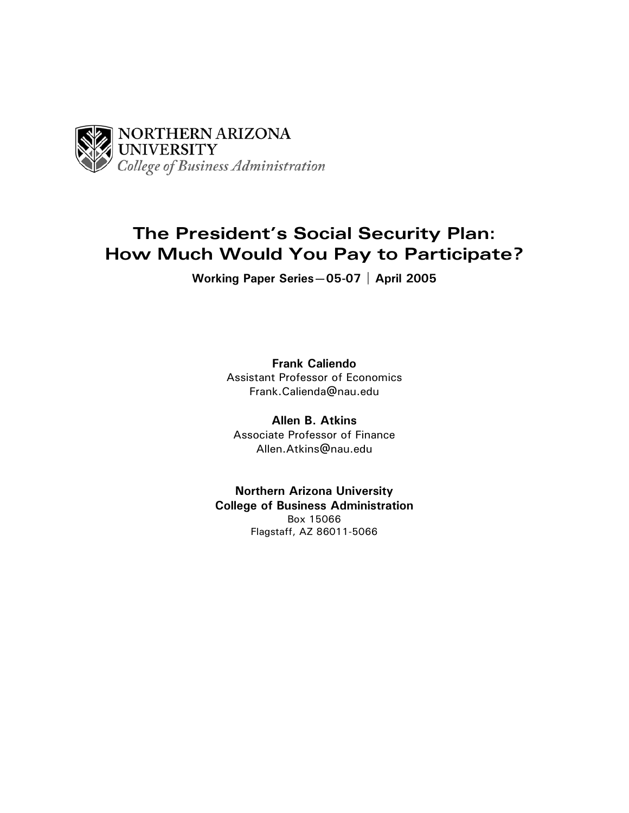

# **The President's Social Security Plan: How Much Would You Pay to Participate?**

**Working Paper Series—05-07 | April 2005** 

**Frank Caliendo**  Assistant Professor of Economics Frank.Calienda@nau.edu

**Allen B. Atkins**  Associate Professor of Finance Allen.Atkins@nau.edu

**Northern Arizona University College of Business Administration**  Box 15066 Flagstaff, AZ 86011-5066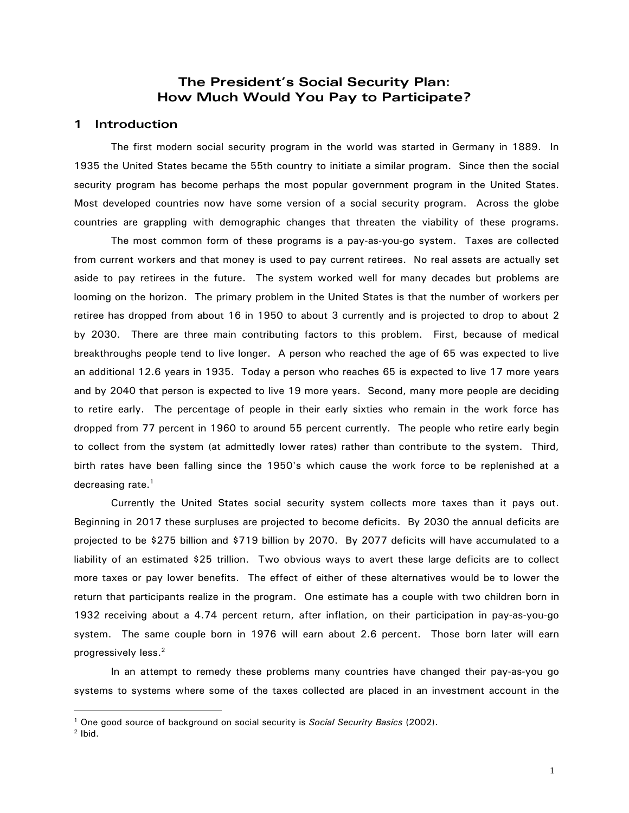## **The President's Social Security Plan: How Much Would You Pay to Participate?**

## **1 Introduction**

The first modern social security program in the world was started in Germany in 1889. In 1935 the United States became the 55th country to initiate a similar program. Since then the social security program has become perhaps the most popular government program in the United States. Most developed countries now have some version of a social security program. Across the globe countries are grappling with demographic changes that threaten the viability of these programs.

 The most common form of these programs is a pay-as-you-go system. Taxes are collected from current workers and that money is used to pay current retirees. No real assets are actually set aside to pay retirees in the future. The system worked well for many decades but problems are looming on the horizon. The primary problem in the United States is that the number of workers per retiree has dropped from about 16 in 1950 to about 3 currently and is projected to drop to about 2 by 2030. There are three main contributing factors to this problem. First, because of medical breakthroughs people tend to live longer. A person who reached the age of 65 was expected to live an additional 12.6 years in 1935. Today a person who reaches 65 is expected to live 17 more years and by 2040 that person is expected to live 19 more years. Second, many more people are deciding to retire early. The percentage of people in their early sixties who remain in the work force has dropped from 77 percent in 1960 to around 55 percent currently. The people who retire early begin to collect from the system (at admittedly lower rates) rather than contribute to the system. Third, birth rates have been falling since the 1950's which cause the work force to be replenished at a decreasing rate.<sup>1</sup>

 Currently the United States social security system collects more taxes than it pays out. Beginning in 2017 these surpluses are projected to become deficits. By 2030 the annual deficits are projected to be \$275 billion and \$719 billion by 2070. By 2077 deficits will have accumulated to a liability of an estimated \$25 trillion. Two obvious ways to avert these large deficits are to collect more taxes or pay lower benefits. The effect of either of these alternatives would be to lower the return that participants realize in the program. One estimate has a couple with two children born in 1932 receiving about a 4.74 percent return, after inflation, on their participation in pay-as-you-go system. The same couple born in 1976 will earn about 2.6 percent. Those born later will earn progressively less.2

 In an attempt to remedy these problems many countries have changed their pay-as-you go systems to systems where some of the taxes collected are placed in an investment account in the

 $\overline{a}$ 

<sup>&</sup>lt;sup>1</sup> One good source of background on social security is *Social Security Basics* (2002).<br><sup>2</sup> Ibid.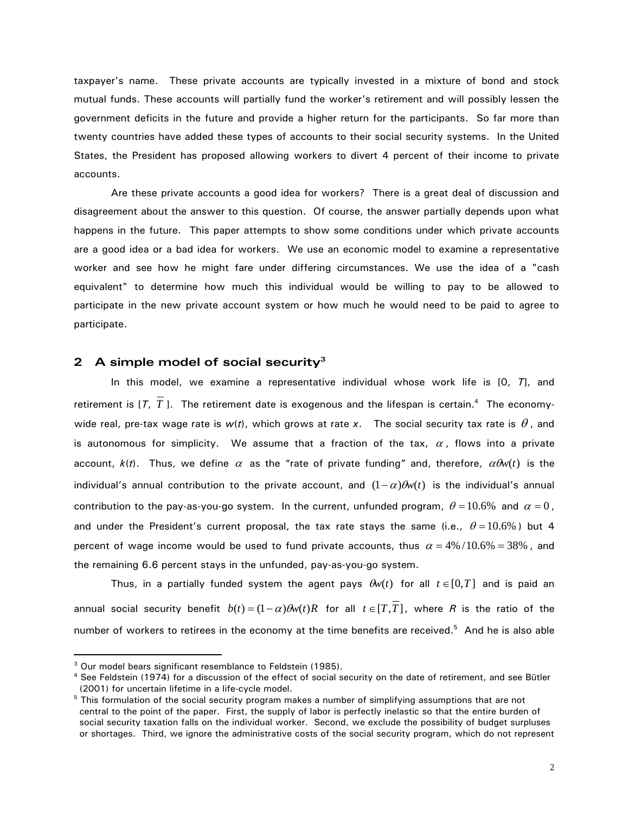taxpayer's name. These private accounts are typically invested in a mixture of bond and stock mutual funds. These accounts will partially fund the worker's retirement and will possibly lessen the government deficits in the future and provide a higher return for the participants. So far more than twenty countries have added these types of accounts to their social security systems. In the United States, the President has proposed allowing workers to divert 4 percent of their income to private accounts.

 Are these private accounts a good idea for workers? There is a great deal of discussion and disagreement about the answer to this question. Of course, the answer partially depends upon what happens in the future. This paper attempts to show some conditions under which private accounts are a good idea or a bad idea for workers. We use an economic model to examine a representative worker and see how he might fare under differing circumstances. We use the idea of a "cash equivalent" to determine how much this individual would be willing to pay to be allowed to participate in the new private account system or how much he would need to be paid to agree to participate.

## **2 A simple model of social security3**

 In this model, we examine a representative individual whose work life is [0, *T*], and retirement is  $[T, T]$ . The retirement date is exogenous and the lifespan is certain.<sup>4</sup> The economywide real, pre-tax wage rate is  $w(t)$ , which grows at rate x. The social security tax rate is  $\theta$ , and is autonomous for simplicity. We assume that a fraction of the tax,  $\alpha$ , flows into a private account,  $k(t)$ . Thus, we define  $\alpha$  as the "rate of private funding" and, therefore,  $\alpha \theta w(t)$  is the individual's annual contribution to the private account, and  $(1-\alpha)\theta_w(t)$  is the individual's annual contribution to the pay-as-you-go system. In the current, unfunded program,  $\theta = 10.6\%$  and  $\alpha = 0$ , and under the President's current proposal, the tax rate stays the same (i.e.,  $\theta = 10.6\%$ ) but 4 percent of wage income would be used to fund private accounts, thus  $\alpha = 4\%/10.6\% = 38\%$ , and the remaining 6.6 percent stays in the unfunded, pay-as-you-go system.

Thus, in a partially funded system the agent pays  $\theta w(t)$  for all  $t \in [0,T]$  and is paid an annual social security benefit  $b(t) = (1-\alpha)\theta w(t)R$  for all  $t \in [T, T]$ , where R is the ratio of the number of workers to retirees in the economy at the time benefits are received.<sup>5</sup> And he is also able

 $\overline{a}$ 

<sup>&</sup>lt;sup>3</sup> Our model bears significant resemblance to Feldstein (1985).

<sup>4</sup> See Feldstein (1974) for a discussion of the effect of social security on the date of retirement, and see Bütler (2001) for uncertain lifetime in a life-cycle model.

<sup>&</sup>lt;sup>5</sup> This formulation of the social security program makes a number of simplifying assumptions that are not central to the point of the paper. First, the supply of labor is perfectly inelastic so that the entire burden of social security taxation falls on the individual worker. Second, we exclude the possibility of budget surpluses or shortages. Third, we ignore the administrative costs of the social security program, which do not represent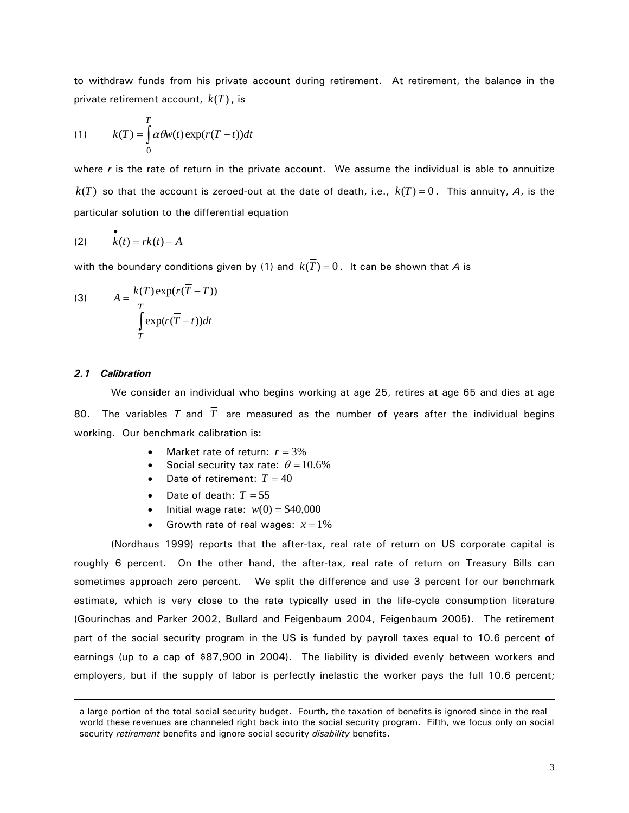to withdraw funds from his private account during retirement. At retirement, the balance in the private retirement account, *k*(*T*), is

(1) 
$$
k(T) = \int_{0}^{T} \alpha \theta w(t) \exp(r(T-t)) dt
$$

where *r* is the rate of return in the private account. We assume the individual is able to annuitize  $k(T)$  so that the account is zeroed-out at the date of death, i.e.,  $k(T) = 0$ . This annuity, *A*, is the particular solution to the differential equation

$$
\begin{array}{ll} \bullet\\ (2) & k(t) = rk(t) - A \end{array}
$$

with the boundary conditions given by (1) and  $k(\overline{T}) = 0$ . It can be shown that *A* is

(3) 
$$
A = \frac{k(T) \exp(r(T - T))}{\overline{T}} \int_{T} \exp(r(\overline{T} - t)) dt
$$

#### *2.1 Calibration*

 $\overline{a}$ 

We consider an individual who begins working at age 25, retires at age 65 and dies at age 80. The variables *T* and  $\overline{T}$  are measured as the number of years after the individual begins working. Our benchmark calibration is:

- Market rate of return:  $r = 3\%$
- Social security tax rate:  $\theta = 10.6\%$
- Date of retirement:  $T = 40$
- Date of death:  $\overline{T} = 55$
- **Initial wage rate:**  $w(0) = $40,000$
- Growth rate of real wages:  $x = 1\%$

(Nordhaus 1999) reports that the after-tax, real rate of return on US corporate capital is roughly 6 percent. On the other hand, the after-tax, real rate of return on Treasury Bills can sometimes approach zero percent. We split the difference and use 3 percent for our benchmark estimate, which is very close to the rate typically used in the life-cycle consumption literature (Gourinchas and Parker 2002, Bullard and Feigenbaum 2004, Feigenbaum 2005). The retirement part of the social security program in the US is funded by payroll taxes equal to 10.6 percent of earnings (up to a cap of \$87,900 in 2004). The liability is divided evenly between workers and employers, but if the supply of labor is perfectly inelastic the worker pays the full 10.6 percent;

a large portion of the total social security budget. Fourth, the taxation of benefits is ignored since in the real world these revenues are channeled right back into the social security program. Fifth, we focus only on social security *retirement* benefits and ignore social security *disability* benefits.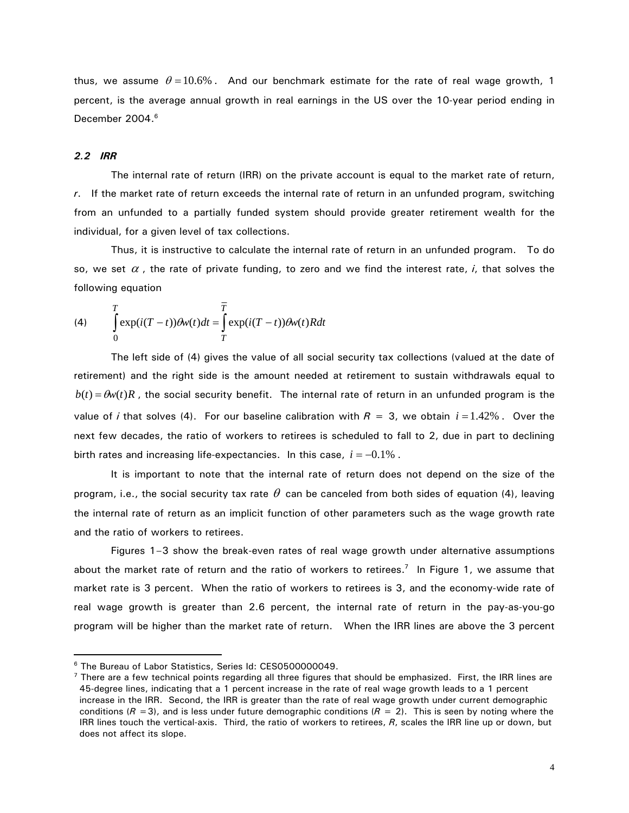thus, we assume  $\theta = 10.6\%$ . And our benchmark estimate for the rate of real wage growth, 1 percent, is the average annual growth in real earnings in the US over the 10-year period ending in December 2004.<sup>6</sup>

#### *2.2 IRR*

 $\overline{a}$ 

The internal rate of return (IRR) on the private account is equal to the market rate of return, *r*. If the market rate of return exceeds the internal rate of return in an unfunded program, switching from an unfunded to a partially funded system should provide greater retirement wealth for the individual, for a given level of tax collections.

Thus, it is instructive to calculate the internal rate of return in an unfunded program. To do so, we set  $\alpha$ , the rate of private funding, to zero and we find the interest rate, *i*, that solves the following equation

(4) 
$$
\int_{0}^{T} \exp(i(T-t))\theta w(t)dt = \int_{T}^{T} \exp(i(T-t))\theta w(t)Rdt
$$

 The left side of (4) gives the value of all social security tax collections (valued at the date of retirement) and the right side is the amount needed at retirement to sustain withdrawals equal to  $b(t) = \theta w(t)R$ , the social security benefit. The internal rate of return in an unfunded program is the value of *i* that solves (4). For our baseline calibration with  $R = 3$ , we obtain  $i = 1.42\%$ . Over the next few decades, the ratio of workers to retirees is scheduled to fall to 2, due in part to declining birth rates and increasing life-expectancies. In this case, *i* = −0.1% .

It is important to note that the internal rate of return does not depend on the size of the program, i.e., the social security tax rate  $\theta$  can be canceled from both sides of equation (4), leaving the internal rate of return as an implicit function of other parameters such as the wage growth rate and the ratio of workers to retirees.

Figures 1–3 show the break-even rates of real wage growth under alternative assumptions about the market rate of return and the ratio of workers to retirees.<sup>7</sup> In Figure 1, we assume that market rate is 3 percent. When the ratio of workers to retirees is 3, and the economy-wide rate of real wage growth is greater than 2.6 percent, the internal rate of return in the pay-as-you-go program will be higher than the market rate of return. When the IRR lines are above the 3 percent

<sup>6</sup> The Bureau of Labor Statistics, Series Id: CES0500000049.

 $<sup>7</sup>$  There are a few technical points regarding all three figures that should be emphasized. First, the IRR lines are</sup> 45-degree lines, indicating that a 1 percent increase in the rate of real wage growth leads to a 1 percent increase in the IRR. Second, the IRR is greater than the rate of real wage growth under current demographic conditions  $(R = 3)$ , and is less under future demographic conditions  $(R = 2)$ . This is seen by noting where the IRR lines touch the vertical-axis. Third, the ratio of workers to retirees, *R*, scales the IRR line up or down, but does not affect its slope.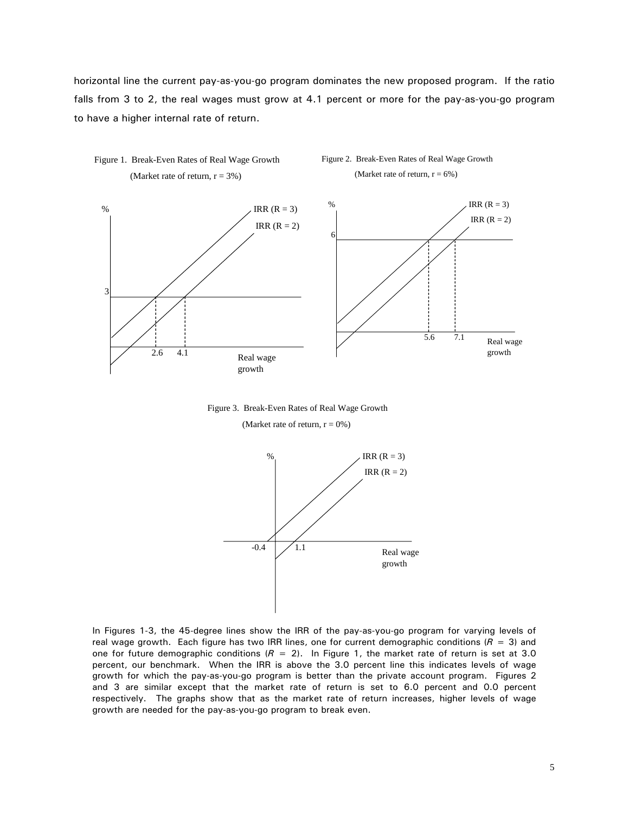horizontal line the current pay-as-you-go program dominates the new proposed program. If the ratio falls from 3 to 2, the real wages must grow at 4.1 percent or more for the pay-as-you-go program to have a higher internal rate of return.



Figure 3. Break-Even Rates of Real Wage Growth

(Market rate of return,  $r = 0\%$ )



In Figures 1-3, the 45-degree lines show the IRR of the pay-as-you-go program for varying levels of real wage growth. Each figure has two IRR lines, one for current demographic conditions  $(R = 3)$  and one for future demographic conditions  $(R = 2)$ . In Figure 1, the market rate of return is set at 3.0 percent, our benchmark. When the IRR is above the 3.0 percent line this indicates levels of wage growth for which the pay-as-you-go program is better than the private account program. Figures 2 and 3 are similar except that the market rate of return is set to 6.0 percent and 0.0 percent respectively. The graphs show that as the market rate of return increases, higher levels of wage growth are needed for the pay-as-you-go program to break even.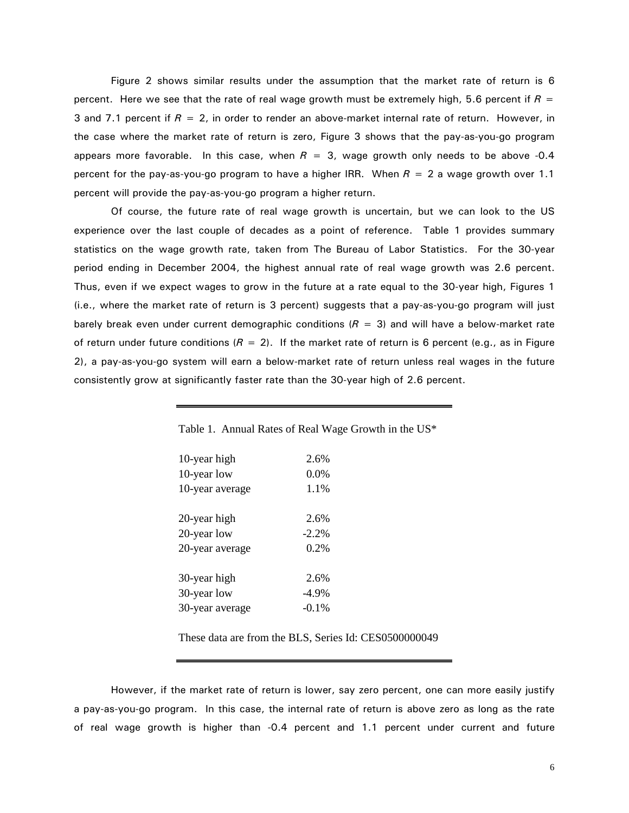Figure 2 shows similar results under the assumption that the market rate of return is 6 percent. Here we see that the rate of real wage growth must be extremely high, 5.6 percent if  $R =$ 3 and 7.1 percent if  $R = 2$ , in order to render an above-market internal rate of return. However, in the case where the market rate of return is zero, Figure 3 shows that the pay-as-you-go program appears more favorable. In this case, when  $R = 3$ , wage growth only needs to be above -0.4 percent for the pay-as-you-go program to have a higher IRR. When *R* = 2 a wage growth over 1.1 percent will provide the pay-as-you-go program a higher return.

Of course, the future rate of real wage growth is uncertain, but we can look to the US experience over the last couple of decades as a point of reference. Table 1 provides summary statistics on the wage growth rate, taken from The Bureau of Labor Statistics. For the 30-year period ending in December 2004, the highest annual rate of real wage growth was 2.6 percent. Thus, even if we expect wages to grow in the future at a rate equal to the 30-year high, Figures 1 (i.e., where the market rate of return is 3 percent) suggests that a pay-as-you-go program will just barely break even under current demographic conditions  $(R = 3)$  and will have a below-market rate of return under future conditions  $(R = 2)$ . If the market rate of return is 6 percent (e.g., as in Figure 2), a pay-as-you-go system will earn a below-market rate of return unless real wages in the future consistently grow at significantly faster rate than the 30-year high of 2.6 percent.

| 10-year high    | 2.6%     |
|-----------------|----------|
| 10-year low     | $0.0\%$  |
| 10-year average | 1.1%     |
|                 |          |
| 20-year high    | 2.6%     |
| 20-year low     | $-2.2%$  |
| 20-year average | 0.2%     |
|                 |          |
| 30-year high    | 2.6%     |
| 30-year low     | $-4.9\%$ |
| 30-year average | $-0.1\%$ |

Table 1. Annual Rates of Real Wage Growth in the US\*

These data are from the BLS, Series Id: CES0500000049

However, if the market rate of return is lower, say zero percent, one can more easily justify a pay-as-you-go program. In this case, the internal rate of return is above zero as long as the rate of real wage growth is higher than -0.4 percent and 1.1 percent under current and future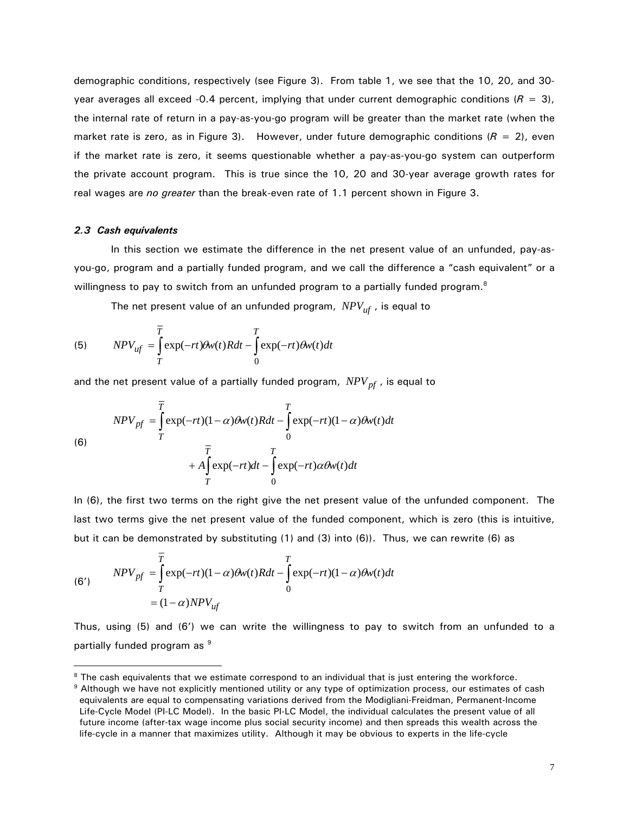demographic conditions, respectively (see Figure 3). From table 1, we see that the 10, 20, and 30 year averages all exceed -0.4 percent, implying that under current demographic conditions  $(R = 3)$ , the internal rate of return in a pay-as-you-go program will be greater than the market rate (when the market rate is zero, as in Figure 3). However, under future demographic conditions ( $R = 2$ ), even if the market rate is zero, it seems questionable whether a pay-as-you-go system can outperform the private account program. This is true since the 10, 20 and 30-year average growth rates for real wages are *no greater* than the break-even rate of 1.1 percent shown in Figure 3.

#### *2.3 Cash equivalents*

 $\overline{a}$ 

 In this section we estimate the difference in the net present value of an unfunded, pay-asyou-go, program and a partially funded program, and we call the difference a "cash equivalent" or a willingness to pay to switch from an unfunded program to a partially funded program.<sup>8</sup>

The net present value of an unfunded program, *NPVuf* , is equal to

 $\overline{0}$ 

(5) 
$$
NPV_{uf} = \int_{T}^{T} \exp(-rt)\theta w(t)Rdt - \int_{0}^{T} \exp(-rt)\theta w(t)dt
$$

and the net present value of a partially funded program,  $NPV_{pf}$ , is equal to

$$
NPV_{pf} = \int_{T}^{\overline{T}} \exp(-rt)(1-\alpha)\theta w(t)Rdt - \int_{0}^{T} \exp(-rt)(1-\alpha)\theta w(t)dt
$$
  
(6)  

$$
+ A \int_{T}^{\overline{T}} \exp(-rt)dt - \int_{0}^{T} \exp(-rt)\alpha\theta w(t)dt
$$

In (6), the first two terms on the right give the net present value of the unfunded component. The last two terms give the net present value of the funded component, which is zero (this is intuitive, but it can be demonstrated by substituting  $(1)$  and  $(3)$  into  $(6)$ ). Thus, we can rewrite  $(6)$  as

(6') 
$$
NPV_{pf} = \int_{T}^{T} \exp(-rt)(1-\alpha)\theta w(t)Rdt - \int_{0}^{T} \exp(-rt)(1-\alpha)\theta w(t)dt
$$

$$
= (1-\alpha)NPV_{uf}
$$

Thus, using (5) and (6') we can write the willingness to pay to switch from an unfunded to a partially funded program as <sup>9</sup>

<sup>&</sup>lt;sup>8</sup> The cash equivalents that we estimate correspond to an individual that is just entering the workforce.<br><sup>9</sup> Although we have not explicitly mentioned utility or any type of optimization process, our estimates of cash

equivalents are equal to compensating variations derived from the Modigliani-Freidman, Permanent-Income Life-Cycle Model (PI-LC Model). In the basic PI-LC Model, the individual calculates the present value of all future income (after-tax wage income plus social security income) and then spreads this wealth across the life-cycle in a manner that maximizes utility. Although it may be obvious to experts in the life-cycle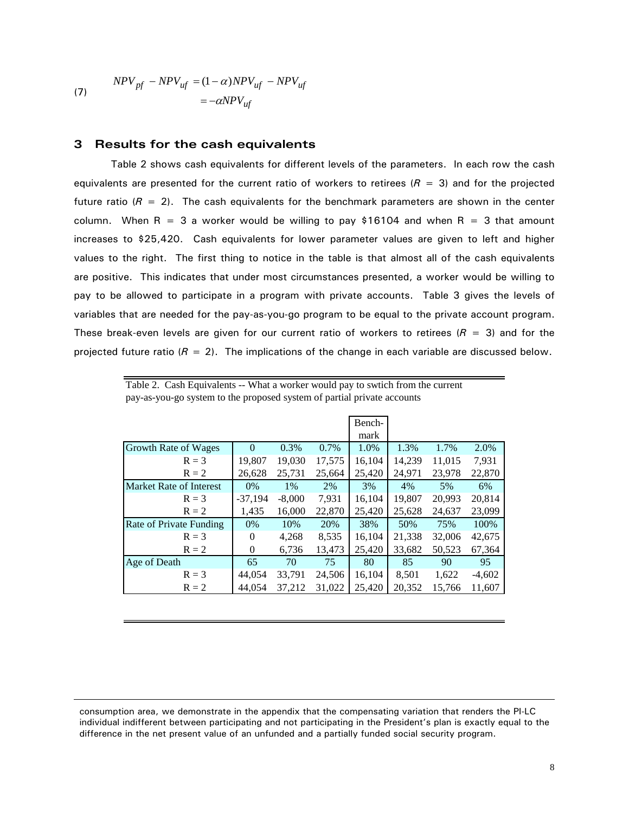$$
NPV_{pf} - NPV_{uf} = (1 - \alpha)NPV_{uf} - NPV_{uf}
$$
  
= 
$$
-\alpha NPV_{uf}
$$

#### **3 Results for the cash equivalents**

 $\overline{a}$ 

 Table 2 shows cash equivalents for different levels of the parameters. In each row the cash equivalents are presented for the current ratio of workers to retirees  $(R = 3)$  and for the projected future ratio  $(R = 2)$ . The cash equivalents for the benchmark parameters are shown in the center column. When R = 3 a worker would be willing to pay \$16104 and when R = 3 that amount increases to \$25,420. Cash equivalents for lower parameter values are given to left and higher values to the right. The first thing to notice in the table is that almost all of the cash equivalents are positive. This indicates that under most circumstances presented, a worker would be willing to pay to be allowed to participate in a program with private accounts. Table 3 gives the levels of variables that are needed for the pay-as-you-go program to be equal to the private account program. These break-even levels are given for our current ratio of workers to retirees ( $R = 3$ ) and for the projected future ratio  $(R = 2)$ . The implications of the change in each variable are discussed below.

|  | Table 2. Cash Equivalents -- What a worker would pay to swtich from the current |  |  |  |  |
|--|---------------------------------------------------------------------------------|--|--|--|--|
|  | pay-as-you-go system to the proposed system of partial private accounts         |  |  |  |  |

|                         |           |          |        | Bench- |        |        |          |
|-------------------------|-----------|----------|--------|--------|--------|--------|----------|
|                         |           |          |        | mark   |        |        |          |
| Growth Rate of Wages    | 0         | 0.3%     | 0.7%   | 1.0%   | 1.3%   | 1.7%   | 2.0%     |
| $R = 3$                 | 19,807    | 19,030   | 17,575 | 16,104 | 14,239 | 11,015 | 7,931    |
| $R = 2$                 | 26,628    | 25,731   | 25,664 | 25,420 | 24,971 | 23,978 | 22,870   |
| Market Rate of Interest | $0\%$     | $1\%$    | 2%     | 3%     | 4%     | 5%     | 6%       |
| $R = 3$                 | $-37,194$ | $-8,000$ | 7,931  | 16,104 | 19,807 | 20,993 | 20,814   |
| $R = 2$                 | 1,435     | 16,000   | 22,870 | 25,420 | 25,628 | 24,637 | 23,099   |
| Rate of Private Funding | $0\%$     | 10%      | 20%    | 38%    | 50%    | 75%    | 100%     |
| $R = 3$                 | 0         | 4,268    | 8,535  | 16,104 | 21,338 | 32,006 | 42,675   |
| $R = 2$                 | 0         | 6,736    | 13,473 | 25,420 | 33,682 | 50,523 | 67,364   |
| Age of Death            | 65        | 70       | 75     | 80     | 85     | 90     | 95       |
| $R = 3$                 | 44,054    | 33,791   | 24,506 | 16,104 | 8,501  | 1,622  | $-4,602$ |
| $R = 2$                 | 44,054    | 37,212   | 31,022 | 25,420 | 20,352 | 15,766 | 11.607   |

consumption area, we demonstrate in the appendix that the compensating variation that renders the PI-LC individual indifferent between participating and not participating in the President's plan is exactly equal to the difference in the net present value of an unfunded and a partially funded social security program.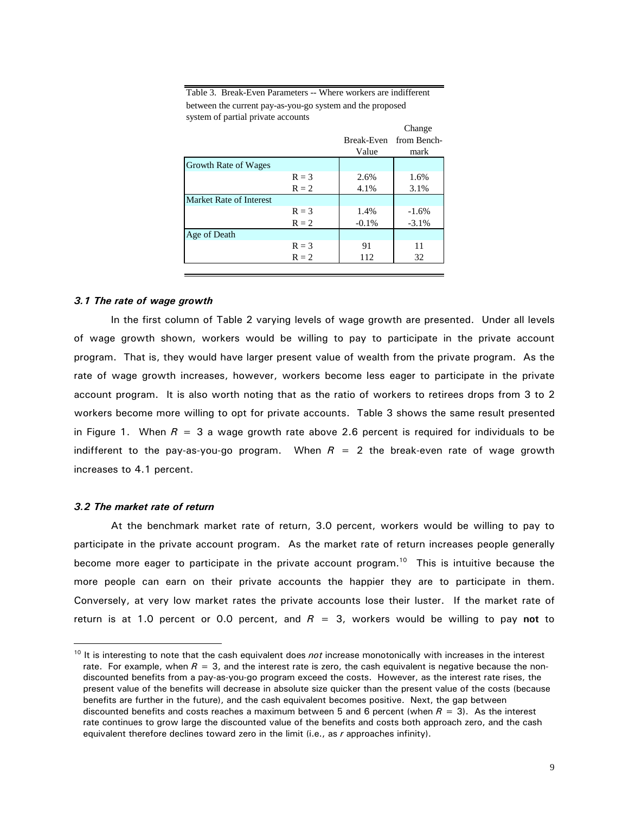Table 3. Break-Even Parameters -- Where workers are indifferent between the current pay-as-you-go system and the proposed system of partial private accounts

|                         |         |            | Change      |
|-------------------------|---------|------------|-------------|
|                         |         | Break-Even | from Bench- |
|                         |         | Value      | mark        |
| Growth Rate of Wages    |         |            |             |
|                         | $R = 3$ | 2.6%       | 1.6%        |
|                         | $R = 2$ | 4.1%       | 3.1%        |
| Market Rate of Interest |         |            |             |
|                         | $R = 3$ | 1.4%       | $-1.6%$     |
|                         | $R = 2$ | $-0.1%$    | $-3.1%$     |
| Age of Death            |         |            |             |
|                         | $R = 3$ | 91         | 11          |
|                         | $R = 2$ | 112        | 32          |
|                         |         |            |             |

#### *3.1 The rate of wage growth*

 In the first column of Table 2 varying levels of wage growth are presented. Under all levels of wage growth shown, workers would be willing to pay to participate in the private account program. That is, they would have larger present value of wealth from the private program. As the rate of wage growth increases, however, workers become less eager to participate in the private account program. It is also worth noting that as the ratio of workers to retirees drops from 3 to 2 workers become more willing to opt for private accounts. Table 3 shows the same result presented in Figure 1. When  $R = 3$  a wage growth rate above 2.6 percent is required for individuals to be indifferent to the pay-as-you-go program. When  $R = 2$  the break-even rate of wage growth increases to 4.1 percent.

#### *3.2 The market rate of return*

 $\overline{a}$ 

 At the benchmark market rate of return, 3.0 percent, workers would be willing to pay to participate in the private account program. As the market rate of return increases people generally become more eager to participate in the private account program.<sup>10</sup> This is intuitive because the more people can earn on their private accounts the happier they are to participate in them. Conversely, at very low market rates the private accounts lose their luster. If the market rate of return is at 1.0 percent or 0.0 percent, and *R* = 3, workers would be willing to pay **not** to

<sup>&</sup>lt;sup>10</sup> It is interesting to note that the cash equivalent does *not* increase monotonically with increases in the interest rate. For example, when  $R = 3$ , and the interest rate is zero, the cash equivalent is negative because the nondiscounted benefits from a pay-as-you-go program exceed the costs. However, as the interest rate rises, the present value of the benefits will decrease in absolute size quicker than the present value of the costs (because benefits are further in the future), and the cash equivalent becomes positive. Next, the gap between discounted benefits and costs reaches a maximum between 5 and 6 percent (when *R* = 3). As the interest rate continues to grow large the discounted value of the benefits and costs both approach zero, and the cash equivalent therefore declines toward zero in the limit (i.e., as *r* approaches infinity).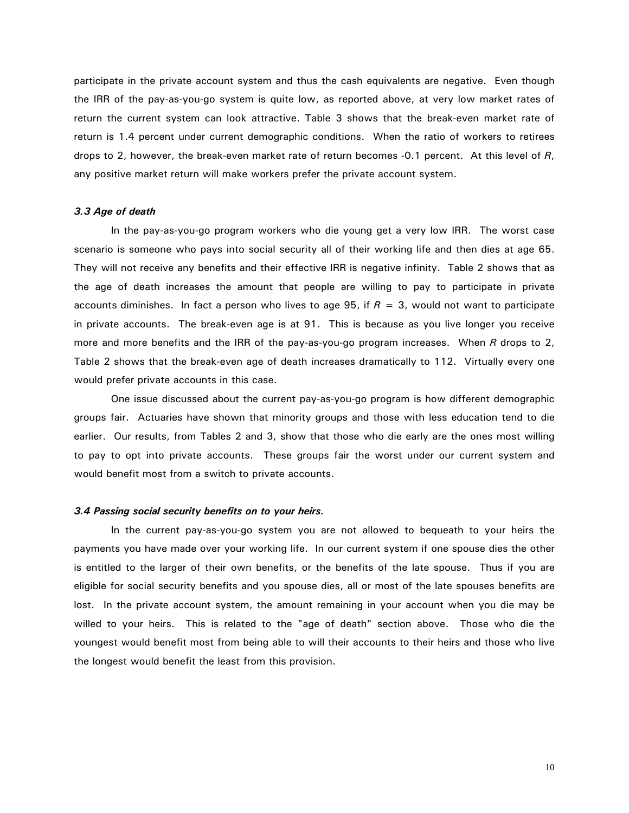participate in the private account system and thus the cash equivalents are negative. Even though the IRR of the pay-as-you-go system is quite low, as reported above, at very low market rates of return the current system can look attractive. Table 3 shows that the break-even market rate of return is 1.4 percent under current demographic conditions. When the ratio of workers to retirees drops to 2, however, the break-even market rate of return becomes -0.1 percent. At this level of *R*, any positive market return will make workers prefer the private account system.

#### *3.3 Age of death*

 In the pay-as-you-go program workers who die young get a very low IRR. The worst case scenario is someone who pays into social security all of their working life and then dies at age 65. They will not receive any benefits and their effective IRR is negative infinity. Table 2 shows that as the age of death increases the amount that people are willing to pay to participate in private accounts diminishes. In fact a person who lives to age 95, if *R* = 3, would not want to participate in private accounts. The break-even age is at 91. This is because as you live longer you receive more and more benefits and the IRR of the pay-as-you-go program increases. When *R* drops to 2, Table 2 shows that the break-even age of death increases dramatically to 112. Virtually every one would prefer private accounts in this case.

 One issue discussed about the current pay-as-you-go program is how different demographic groups fair. Actuaries have shown that minority groups and those with less education tend to die earlier. Our results, from Tables 2 and 3, show that those who die early are the ones most willing to pay to opt into private accounts. These groups fair the worst under our current system and would benefit most from a switch to private accounts.

#### *3.4 Passing social security benefits on to your heirs.*

 In the current pay-as-you-go system you are not allowed to bequeath to your heirs the payments you have made over your working life. In our current system if one spouse dies the other is entitled to the larger of their own benefits, or the benefits of the late spouse. Thus if you are eligible for social security benefits and you spouse dies, all or most of the late spouses benefits are lost. In the private account system, the amount remaining in your account when you die may be willed to your heirs. This is related to the "age of death" section above. Those who die the youngest would benefit most from being able to will their accounts to their heirs and those who live the longest would benefit the least from this provision.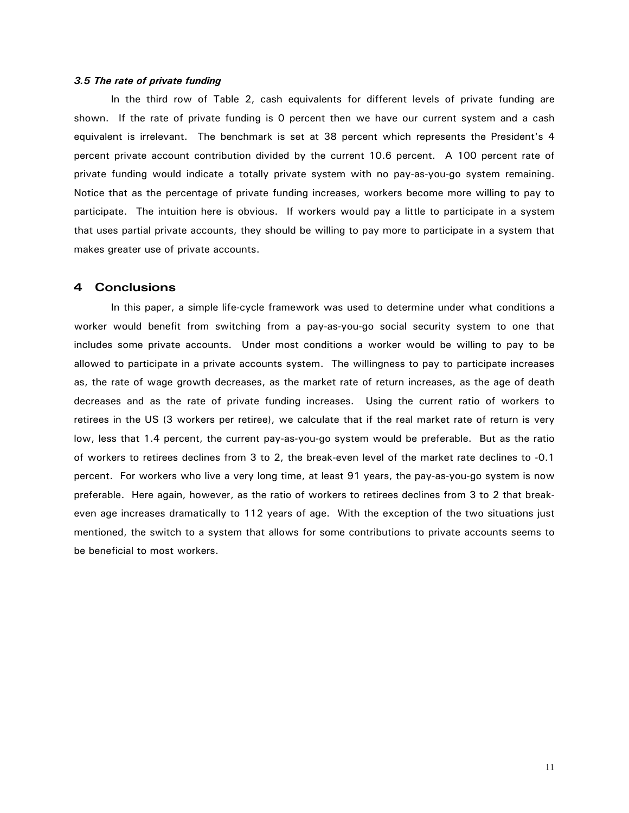#### *3.5 The rate of private funding*

 In the third row of Table 2, cash equivalents for different levels of private funding are shown. If the rate of private funding is 0 percent then we have our current system and a cash equivalent is irrelevant. The benchmark is set at 38 percent which represents the President's 4 percent private account contribution divided by the current 10.6 percent. A 100 percent rate of private funding would indicate a totally private system with no pay-as-you-go system remaining. Notice that as the percentage of private funding increases, workers become more willing to pay to participate. The intuition here is obvious. If workers would pay a little to participate in a system that uses partial private accounts, they should be willing to pay more to participate in a system that makes greater use of private accounts.

## **4 Conclusions**

 In this paper, a simple life-cycle framework was used to determine under what conditions a worker would benefit from switching from a pay-as-you-go social security system to one that includes some private accounts. Under most conditions a worker would be willing to pay to be allowed to participate in a private accounts system. The willingness to pay to participate increases as, the rate of wage growth decreases, as the market rate of return increases, as the age of death decreases and as the rate of private funding increases. Using the current ratio of workers to retirees in the US (3 workers per retiree), we calculate that if the real market rate of return is very low, less that 1.4 percent, the current pay-as-you-go system would be preferable. But as the ratio of workers to retirees declines from 3 to 2, the break-even level of the market rate declines to -0.1 percent. For workers who live a very long time, at least 91 years, the pay-as-you-go system is now preferable. Here again, however, as the ratio of workers to retirees declines from 3 to 2 that breakeven age increases dramatically to 112 years of age. With the exception of the two situations just mentioned, the switch to a system that allows for some contributions to private accounts seems to be beneficial to most workers.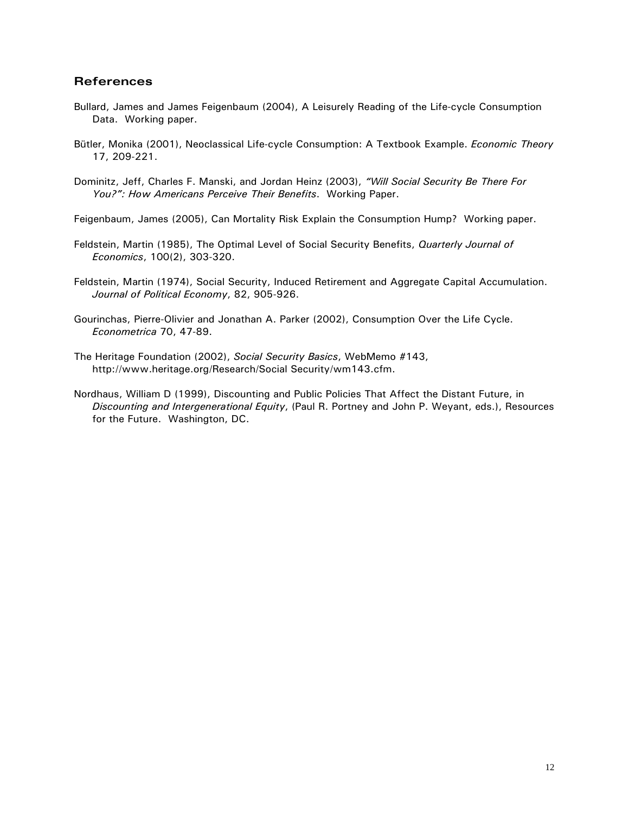## **References**

- Bullard, James and James Feigenbaum (2004), A Leisurely Reading of the Life-cycle Consumption Data. Working paper.
- Bütler, Monika (2001), Neoclassical Life-cycle Consumption: A Textbook Example. *Economic Theory* 17, 209-221.
- Dominitz, Jeff, Charles F. Manski, and Jordan Heinz (2003), *"Will Social Security Be There For You?": How Americans Perceive Their Benefits*. Working Paper.

Feigenbaum, James (2005), Can Mortality Risk Explain the Consumption Hump? Working paper.

- Feldstein, Martin (1985), The Optimal Level of Social Security Benefits, *Quarterly Journal of Economics*, 100(2), 303-320.
- Feldstein, Martin (1974), Social Security, Induced Retirement and Aggregate Capital Accumulation. *Journal of Political Economy*, 82, 905-926.

Gourinchas, Pierre-Olivier and Jonathan A. Parker (2002), Consumption Over the Life Cycle. *Econometrica* 70, 47-89.

- The Heritage Foundation (2002), *Social Security Basics*, WebMemo #143, http://www.heritage.org/Research/Social Security/wm143.cfm.
- Nordhaus, William D (1999), Discounting and Public Policies That Affect the Distant Future, in *Discounting and Intergenerational Equity*, (Paul R. Portney and John P. Weyant, eds.), Resources for the Future. Washington, DC.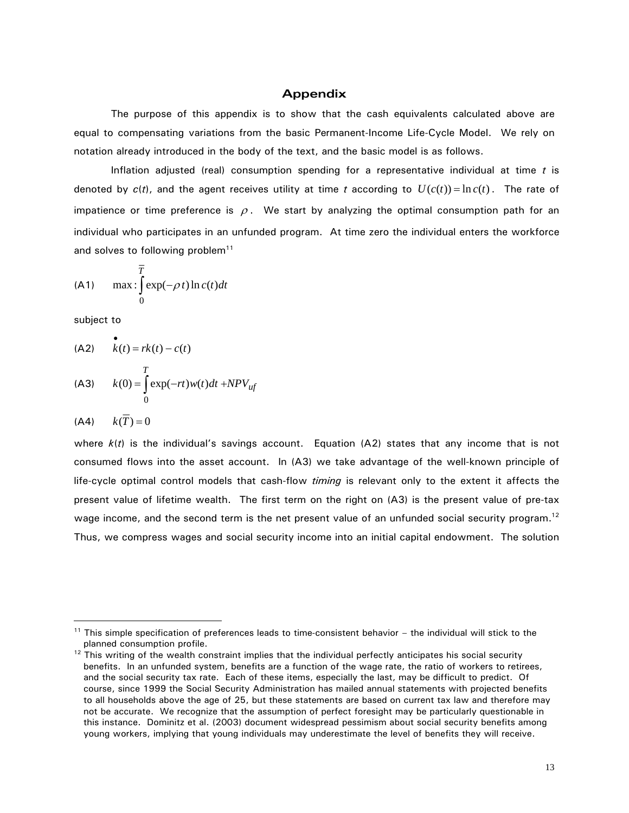### **Appendix**

The purpose of this appendix is to show that the cash equivalents calculated above are equal to compensating variations from the basic Permanent-Income Life-Cycle Model. We rely on notation already introduced in the body of the text, and the basic model is as follows.

 Inflation adjusted (real) consumption spending for a representative individual at time *t* is denoted by  $c(t)$ , and the agent receives utility at time t according to  $U(c(t)) = \ln c(t)$ . The rate of impatience or time preference is  $\rho$ . We start by analyzing the optimal consumption path for an individual who participates in an unfunded program. At time zero the individual enters the workforce and solves to following problem<sup>11</sup>

$$
\text{(A1)} \qquad \max \, : \int\limits_{0}^{\overline{T}} \exp(-\rho \, t) \ln c(t) \, dt
$$

subject to

$$
\begin{aligned} \n\text{(A2)} \quad & k(t) = rk(t) - c(t) \\ \n\text{(A3)} \quad & k(0) = \int_0^T \exp(-rt)w(t)dt + NPV_{\text{tf}} \n\end{aligned}
$$

$$
(A4) \qquad k(\overline{T}) = 0
$$

 $\overline{a}$ 

where *k*(*t*) is the individual's savings account. Equation (A2) states that any income that is not consumed flows into the asset account. In (A3) we take advantage of the well-known principle of life-cycle optimal control models that cash-flow *timing* is relevant only to the extent it affects the present value of lifetime wealth. The first term on the right on (A3) is the present value of pre-tax wage income, and the second term is the net present value of an unfunded social security program.<sup>12</sup> Thus, we compress wages and social security income into an initial capital endowment. The solution

<sup>&</sup>lt;sup>11</sup> This simple specification of preferences leads to time-consistent behavior – the individual will stick to the planned consumption profile.

 $12$  This writing of the wealth constraint implies that the individual perfectly anticipates his social security benefits. In an unfunded system, benefits are a function of the wage rate, the ratio of workers to retirees, and the social security tax rate. Each of these items, especially the last, may be difficult to predict. Of course, since 1999 the Social Security Administration has mailed annual statements with projected benefits to all households above the age of 25, but these statements are based on current tax law and therefore may not be accurate. We recognize that the assumption of perfect foresight may be particularly questionable in this instance. Dominitz et al. (2003) document widespread pessimism about social security benefits among young workers, implying that young individuals may underestimate the level of benefits they will receive.